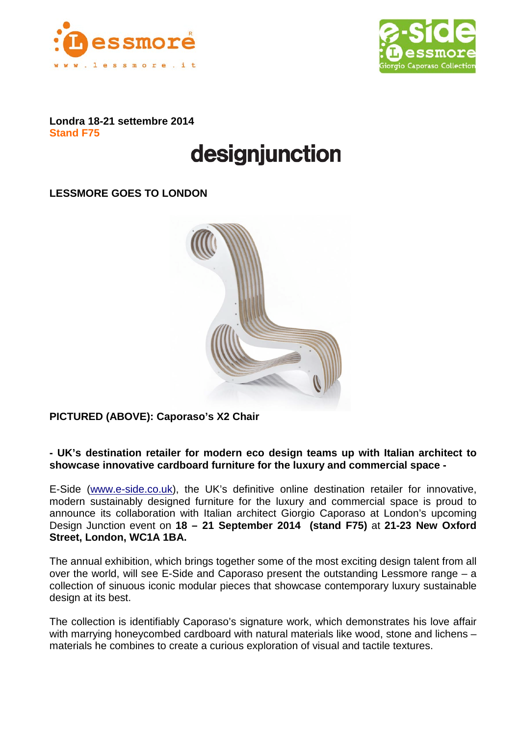



**Londra 18-21 settembre 2014 Stand F75**

# designjunction

**LESSMORE GOES TO LONDON**



**PICTURED (ABOVE): Caporaso's X2 Chair**

**- UK's destination retailer for modern eco design teams up with Italian architect to showcase innovative cardboard furniture for the luxury and commercial space -**

E-Side [\(www.e-side.co.uk\)](http://www.e-side.co.uk/), the UK's definitive online destination retailer for innovative, modern sustainably designed furniture for the luxury and commercial space is proud to announce its collaboration with Italian architect Giorgio Caporaso at London's upcoming Design Junction event on **18 – 21 September 2014 (stand F75)** at **21-23 New Oxford Street, London, WC1A 1BA.**

The annual exhibition, which brings together some of the most exciting design talent from all over the world, will see E-Side and Caporaso present the outstanding Lessmore range – a collection of sinuous iconic modular pieces that showcase contemporary luxury sustainable design at its best.

The collection is identifiably Caporaso's signature work, which demonstrates his love affair with marrying honeycombed cardboard with natural materials like wood, stone and lichens materials he combines to create a curious exploration of visual and tactile textures.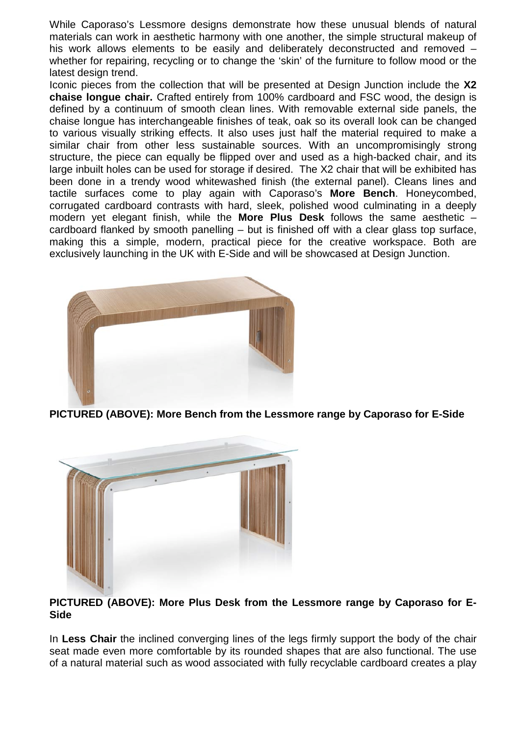While Caporaso's Lessmore designs demonstrate how these unusual blends of natural materials can work in aesthetic harmony with one another, the simple structural makeup of his work allows elements to be easily and deliberately deconstructed and removed – whether for repairing, recycling or to change the 'skin' of the furniture to follow mood or the latest design trend.

Iconic pieces from the collection that will be presented at Design Junction include the **X2 chaise longue chair.** Crafted entirely from 100% cardboard and FSC wood, the design is defined by a continuum of smooth clean lines. With removable external side panels, the chaise longue has interchangeable finishes of teak, oak so its overall look can be changed to various visually striking effects. It also uses just half the material required to make a similar chair from other less sustainable sources. With an uncompromisingly strong structure, the piece can equally be flipped over and used as a high-backed chair, and its large inbuilt holes can be used for storage if desired. The X2 chair that will be exhibited has been done in a trendy wood whitewashed finish (the external panel). Cleans lines and tactile surfaces come to play again with Caporaso's **More Bench**. Honeycombed, corrugated cardboard contrasts with hard, sleek, polished wood culminating in a deeply modern yet elegant finish, while the **More Plus Desk** follows the same aesthetic – cardboard flanked by smooth panelling – but is finished off with a clear glass top surface, making this a simple, modern, practical piece for the creative workspace. Both are exclusively launching in the UK with E-Side and will be showcased at Design Junction.



**PICTURED (ABOVE): More Bench from the Lessmore range by Caporaso for E-Side**



# **PICTURED (ABOVE): More Plus Desk from the Lessmore range by Caporaso for E-Side**

In **Less Chair** the inclined converging lines of the legs firmly support the body of the chair seat made even more comfortable by its rounded shapes that are also functional. The use of a natural material such as wood associated with fully recyclable cardboard creates a play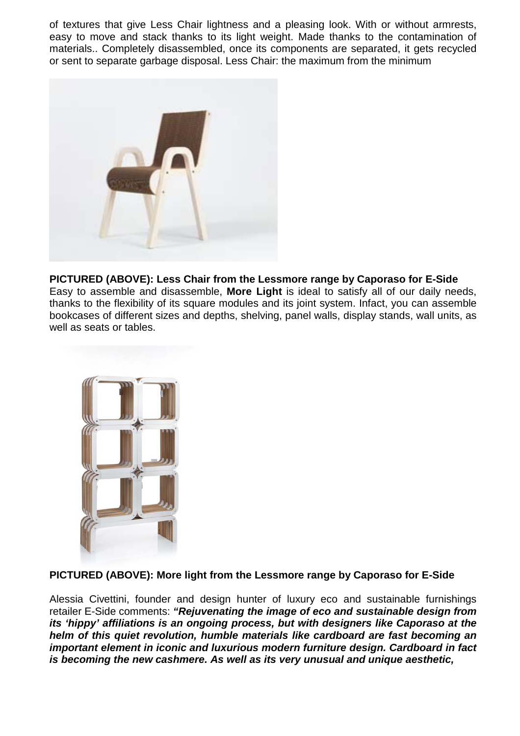of textures that give Less Chair lightness and a pleasing look. With or without armrests, easy to move and stack thanks to its light weight. Made thanks to the contamination of materials.. Completely disassembled, once its components are separated, it gets recycled or sent to separate garbage disposal. Less Chair: the maximum from the minimum



### **PICTURED (ABOVE): Less Chair from the Lessmore range by Caporaso for E-Side**  Easy to assemble and disassemble, **More Light** is ideal to satisfy all of our daily needs, thanks to the flexibility of its square modules and its joint system. Infact, you can assemble bookcases of different sizes and depths, shelving, panel walls, display stands, wall units, as well as seats or tables.



# **PICTURED (ABOVE): More light from the Lessmore range by Caporaso for E-Side**

Alessia Civettini, founder and design hunter of luxury eco and sustainable furnishings retailer E-Side comments: *"Rejuvenating the image of eco and sustainable design from its 'hippy' affiliations is an ongoing process, but with designers like Caporaso at the helm of this quiet revolution, humble materials like cardboard are fast becoming an important element in iconic and luxurious modern furniture design. Cardboard in fact is becoming the new cashmere. As well as its very unusual and unique aesthetic,*